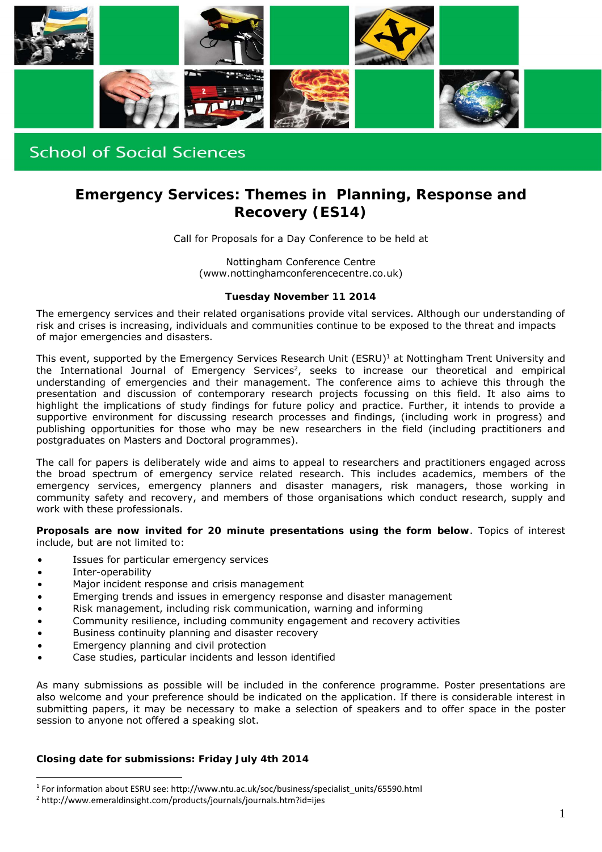

# **School of Social Sciences**

# **Emergency Services: Themes in Planning, Response and Recovery (ES14)**

Call for Proposals for a Day Conference to be held at

Nottingham Conference Centre (www.nottinghamconferencecentre.co.uk)

#### **Tuesday November 11 2014**

The emergency services and their related organisations provide vital services. Although our understanding of risk and crises is increasing, individuals and communities continue to be exposed to the threat and impacts of major emergencies and disasters.

This event, supported by the Emergency Services Research Unit (ESRU)<sup>1</sup> at Nottingham Trent University and the International Journal of Emergency Services<sup>2</sup>, seeks to increase our theoretical and empirical understanding of emergencies and their management. The conference aims to achieve this through the presentation and discussion of contemporary research projects focussing on this field. It also aims to highlight the implications of study findings for future policy and practice. Further, it intends to provide a supportive environment for discussing research processes and findings, (including work in progress) and publishing opportunities for those who may be new researchers in the field (including practitioners and postgraduates on Masters and Doctoral programmes).

The call for papers is deliberately wide and aims to appeal to researchers and practitioners engaged across the broad spectrum of emergency service related research. This includes academics, members of the emergency services, emergency planners and disaster managers, risk managers, those working in community safety and recovery, and members of those organisations which conduct research, supply and work with these professionals.

**Proposals are now invited for 20 minute presentations using the form below**. Topics of interest include, but are not limited to:

- Issues for particular emergency services
- Inter-operability

<u>.</u>

- Major incident response and crisis management
- Emerging trends and issues in emergency response and disaster management
- Risk management, including risk communication, warning and informing
- Community resilience, including community engagement and recovery activities
- Business continuity planning and disaster recovery
- Emergency planning and civil protection
- Case studies, particular incidents and lesson identified

As many submissions as possible will be included in the conference programme. Poster presentations are also welcome and your preference should be indicated on the application. If there is considerable interest in submitting papers, it may be necessary to make a selection of speakers and to offer space in the poster session to anyone not offered a speaking slot.

#### **Closing date for submissions: Friday July 4th 2014**

<sup>1</sup> For information about ESRU see: http://www.ntu.ac.uk/soc/business/specialist\_units/65590.html

<sup>2</sup> http://www.emeraldinsight.com/products/journals/journals.htm?id=ijes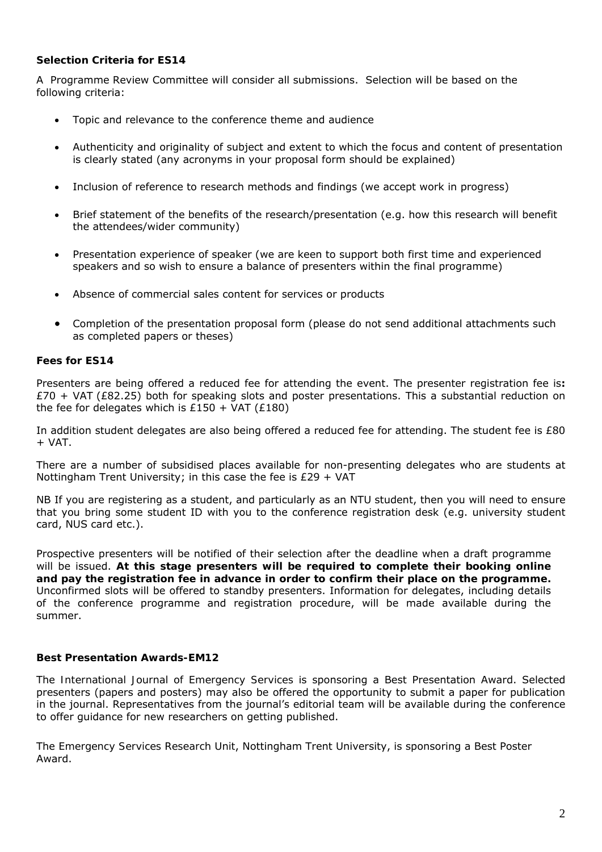## **Selection Criteria for ES14**

A Programme Review Committee will consider all submissions. Selection will be based on the following criteria:

- Topic and relevance to the conference theme and audience
- Authenticity and originality of subject and extent to which the focus and content of presentation is clearly stated (any acronyms in your proposal form should be explained)
- Inclusion of reference to research methods and findings (we accept work in progress)
- Brief statement of the benefits of the research/presentation (e.g. how this research will benefit the attendees/wider community)
- Presentation experience of speaker (we are keen to support both first time and experienced speakers and so wish to ensure a balance of presenters within the final programme)
- Absence of commercial sales content for services or products
- Completion of the presentation proposal form (please do not send additional attachments such as completed papers or theses)

### **Fees for ES14**

Presenters are being offered a reduced fee for attending the event. The presenter registration fee is**:**   $£70 + VAT (£82.25)$  both for speaking slots and poster presentations. This a substantial reduction on the fee for delegates which is  $£150 + VAT (£180)$ 

In addition student delegates are also being offered a reduced fee for attending. The student fee is £80  $+$  VAT.

There are a number of subsidised places available for non-presenting delegates who are students at Nottingham Trent University; in this case the fee is £29 + VAT

NB If you are registering as a student, and particularly as an NTU student, then you will need to ensure that you bring some student ID with you to the conference registration desk (e.g. university student card, NUS card etc.).

Prospective presenters will be notified of their selection after the deadline when a draft programme will be issued. *At this stage presenters will be required to complete their booking online and pay the registration fee in advance in order to confirm their place on the programme.* Unconfirmed slots will be offered to standby presenters. Information for delegates, including details of the conference programme and registration procedure, will be made available during the summer.

#### **Best Presentation Awards-EM12**

The *International Journal of Emergency Services* is sponsoring a Best Presentation Award. Selected presenters (papers and posters) may also be offered the opportunity to submit a paper for publication in the journal. Representatives from the journal's editorial team will be available during the conference to offer guidance for new researchers on getting published.

The *Emergency Services Research Unit*, Nottingham Trent University, is sponsoring a Best Poster Award.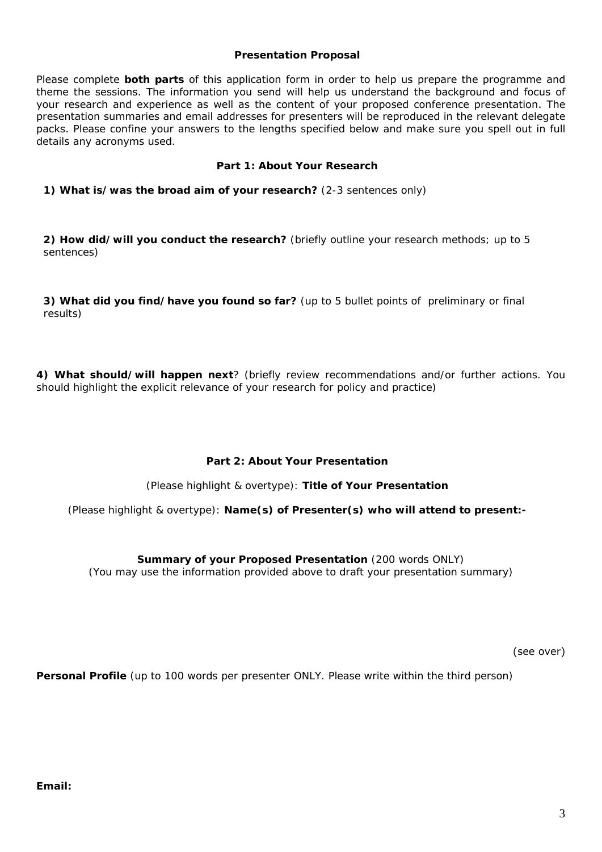#### **Presentation Proposal**

Please complete *both parts* of this application form in order to help us prepare the programme and theme the sessions. The information you send will help us understand the background and focus of your research and experience as well as the content of your proposed conference presentation. The presentation summaries and email addresses for presenters will be reproduced in the relevant delegate packs. *Please confine your answers to the lengths specified below and make sure you spell out in full details any acronyms used.*

### **Part 1: About Your Research**

**1) What is/was the broad aim of your research?** *(2-3 sentences only)*

**2) How did/will you conduct the research?** *(briefly outline your research methods; up to 5 sentences)*

**3) What did you find/have you found so far?** *(up to 5 bullet points of preliminary or final results)*

**4) What should/will happen next**? *(briefly review recommendations and/or further actions. You should highlight the explicit relevance of your research for policy and practice)*

## **Part 2: About Your Presentation**

*(Please highlight & overtype):* **Title of Your Presentation** 

*(Please highlight & overtype):* **Name(s) of Presenter(s) who will attend to present:-** 

**Summary of your Proposed Presentation** *(200 words ONLY) (You may use the information provided above to draft your presentation summary)* 

(see over)

**Personal Profile** *(up to 100 words per presenter ONLY. Please write within the third person)*